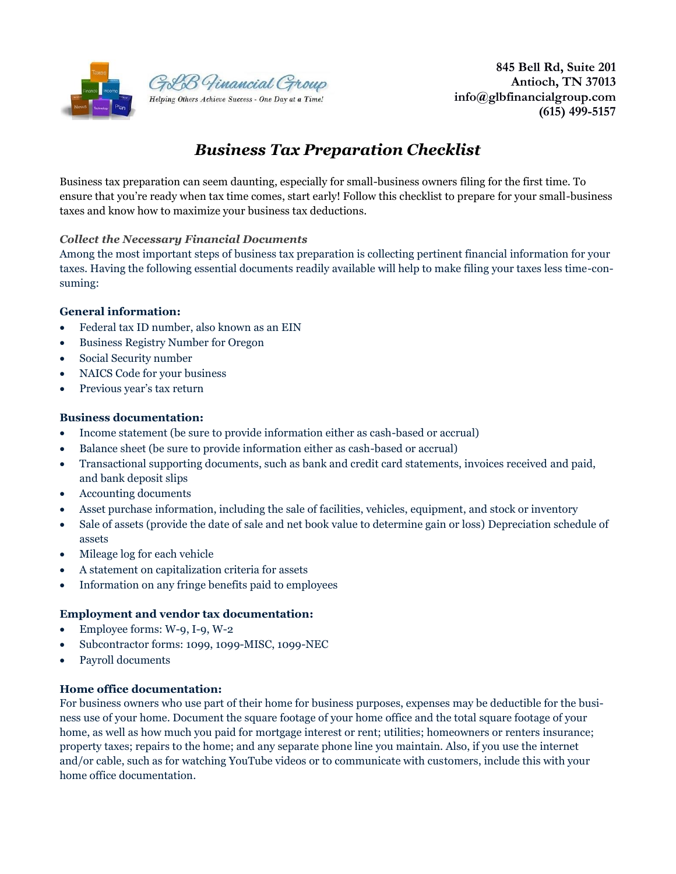

 **845 Bell Rd, Suite 201 Antioch, TN 37013 info@glbfinancialgroup.com (615) 499-5157** 

# *Business Tax Preparation Checklist*

Business tax preparation can seem daunting, especially for small-business owners filing for the first time. To ensure that you're ready when tax time comes, start early! Follow this checklist to prepare for your small-business taxes and know how to maximize your business tax deductions.

#### *Collect the Necessary Financial Documents*

Among the most important steps of business tax preparation is collecting pertinent financial information for your taxes. Having the following essential documents readily available will help to make filing your taxes less time-consuming:

#### **General information:**

- Federal tax ID number, also known as an EIN
- Business Registry Number for Oregon
- Social Security number
- NAICS Code for your business
- Previous year's tax return

#### **Business documentation:**

- Income statement (be sure to provide information either as cash-based or accrual)
- Balance sheet (be sure to provide information either as cash-based or accrual)
- Transactional supporting documents, such as bank and credit card statements, invoices received and paid, and bank deposit slips
- Accounting documents
- Asset purchase information, including the sale of facilities, vehicles, equipment, and stock or inventory
- Sale of assets (provide the date of sale and net book value to determine gain or loss) Depreciation schedule of assets
- Mileage log for each vehicle
- A statement on capitalization criteria for assets
- Information on any fringe benefits paid to employees

#### **Employment and vendor tax documentation:**

- Employee forms: W-9, I-9, W-2
- Subcontractor forms: 1099, 1099-MISC, 1099-NEC
- Payroll documents

#### **Home office documentation:**

For business owners who use part of their home for business purposes, expenses may be deductible for the business use of your home. Document the square footage of your home office and the total square footage of your home, as well as how much you paid for mortgage interest or rent; utilities; homeowners or renters insurance; property taxes; repairs to the home; and any separate phone line you maintain. Also, if you use the internet and/or cable, such as for watching YouTube videos or to communicate with customers, include this with your home office documentation.